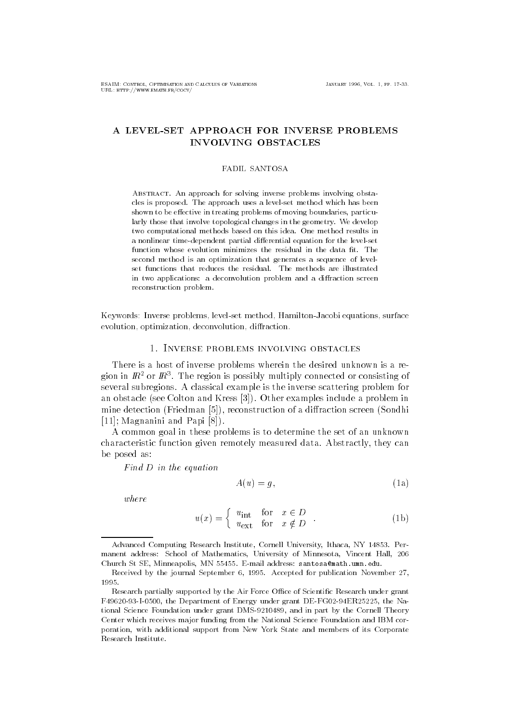# A LEVEL-SET APPROACH FOR INVERSE PROBLEMS INVOLVING OBSTACLES

### **FADIL SANTOSA**

ABSTRACT. An approach for solving inverse problems involving obstacles is proposed- The approach uses a levelset method which has been shown to be effective in treating problems of moving boundaries, particularly those that involve topological changes in the geometry- We develop two computational methods based on this idea- One method results in a nonlinear time-dependent partial differential equation for the level-set function whose evolution minimizes the residual in the data fit. The second method is an optimization that generates a sequence of level in two applications: a deconvolution problem and a diffraction screen reconstruction problem. reconstruction problem-between the construction problem-between the construction problem-between the construction of the construction of the construction of the construction of the construction of the construction of the c

Keywords- Inverse problems levelset method HamiltonJacobi equations surface evolution, optimization, deconvolution, diffraction.

## 1. INVERSE PROBLEMS INVOLVING OBSTACLES

There is a host of inverse problems wherein the desired unknown is a region in  $\bm{\pi}$  or  $\bm{\pi}$  . The region is possibly multiply connected or consisting of several subregions. A classical example is the inverse scattering problem for an obstacle (see Colton and Kress  $[3]$ ). Other examples include a problem in mine detection  $\mathbf{r} = \mathbf{r} \cdot \mathbf{r}$  $[11]$ ; Magnanini and Papi  $[8]$ ).

 $\mathcal{L}$  common goal in the set of an unknown is to determine the set of an unknown is to determine the set of an unknown is to determine the set of an unknown is to determine the set of an unknown is to determine the set characteristic function given remotely measured data Abstractly they can be posed as

Find D in the equation

$$
A(u) = g,\t\t(1a)
$$

where

$$
u(x) = \begin{cases} u_{\text{int}} & \text{for } x \in D \\ u_{\text{ext}} & \text{for } x \notin D \end{cases} .
$$
 (1b)

Advanced Computing Research Institute Cornell University Ithaca NY - Per manent address: School of Mathematics, University of Minnesota, Vincent Hall, 206 Church St SE Minneapolis MN - Email address santosa-mathumnedu-

Received by the journal September - Accepted for publication November 1995.

Research partially supported by the Air Force Office of Scientific Research under grant F49620-93-I-0500, the Department of Energy under grant DE-FG02-94ER25225, the Na- $\mathbf{f}$  in part by the Cornell Theory under grant DMS and in part by the Cornell Theory under by the Cornell Theory under the Cornell Theory under the Cornell Theory under the Cornell Theory under the Cornell Theory unde Center which receives major funding from the National Science Foundation and IBM cor poration, with additional support from New York State and members of its Corporate Research Institute-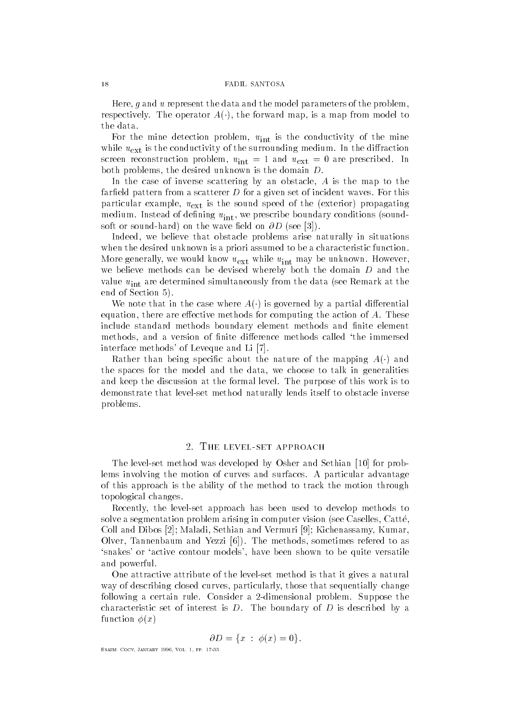Here g and u represent the data and the model parameters of the problem respectively. The operator  $A(\cdot)$ , the forward map, is a map from moder to

 $\frac{1}{1}$  and minute of the mine mine mine  $\frac{1}{1}$  and  $\frac{1}{1}$  and  $\frac{1}{1}$  and  $\frac{1}{1}$  and  $\frac{1}{1}$  and  $\frac{1}{1}$  and  $\frac{1}{1}$  and  $\frac{1}{1}$  and  $\frac{1}{1}$  and  $\frac{1}{1}$  and  $\frac{1}{1}$  and  $\frac{1}{1}$  and  $\frac{1}{1}$  while  $u_{\text{ext}}$  is the conductivity of the surrounding medium. In the diffraction  $\frac{1}{1}$  into  $\sqrt{2}$  and  $\sqrt{2}$  are problem in  $\sqrt{2}$ both problems the desired unknown is the domain D

In the case of inverse scattering by an obstacle A is the map to the farfield pattern from a scatterer  $D$  for a given set of incident waves. For this particular external example is the sound speed of the exterior propagation of the exterior propagation of the e medium  $\sim$  1110 instead of dening under we prescribe boundary conditions soundsoft or sound-definition of the wave eld on D see and D see and D see and D see and D see and D see and D see

Indeed that obstacle problems arise naturally in situations are problems arise naturally in situations are problems when the desired unknown is a priori assumed to be a characteristic function  $\mathcal{M}$  we will we would know use  $\mathcal{M}$  while use unknown  $\mathcal{M}$ we believe methods can be devised whereby both the domain D and the value  $u_{\text{int}}$  are determined simultaneously from the data (see Remark at the end of Section 

We note that in the case where A- is governed by a partial dierential equation there are eective methods for computing the action of A These include standard methods boundary element methods and finite element methods and a version of nite dierence methods called the immersed the immersed the immersed the immersed the i interface methods' of Leveque and Li [7].

**Rather** than being specific about the nature of the mapping  $A(\cdot)$  and the spaces for the model and the data we choose to talk in generalities and keep the discussion at the formal level. The purpose of this work is to demonstrate that level-set method naturally lends itself to obstacle inverse problems

## $\overline{2}$ .

The level-set method was developed by Osher and Sethian  for problems involving the motion of curves and surfaces. A particular advantage of this approach is the ability of the method to track the motion through topological changes

Recently the level-set approach has been used to develop methods to solve a segmentation problem arising in computer vision see Caselles Catte ethian and Dibos and Dibos and Vermuri and Vermuri and Vermuri and Vermuri and Vermuri and Vermuri and Vermuri Olver Tannenbaum and Yezzi The methods sometimes refered to as snakes or active contour models have been shown to be quite versatile and powerful

One attractive attribute of the level-set method is that it gives a natural  $\alpha$  , as described curves curves, particularly, in the change  $\alpha$  -minimally changes of following a certain rule Consider a -dimensional problem Suppose the characteristic set of interest is  $D$ . The boundary of  $D$  is described by a function  $\phi(x)$ 

$$
\partial D = \{x \; : \; \phi(x) = 0\}.
$$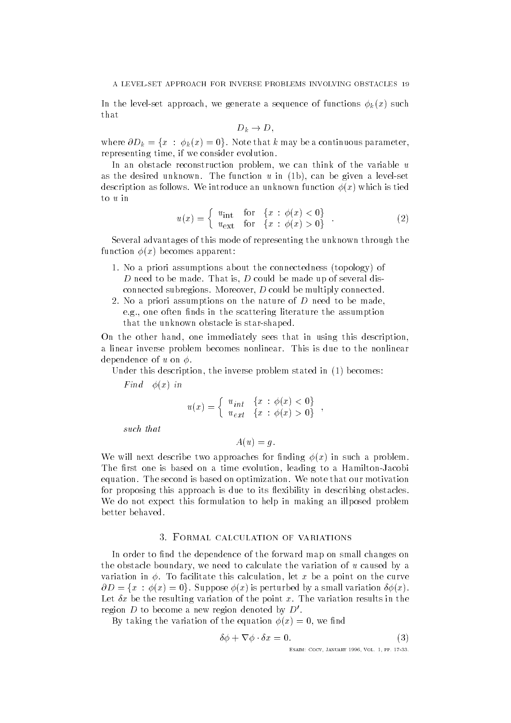$\mathbf{11}$  and  $\mathbf{12}$  are generated of  $\mathbf{1}$  and  $\mathbf{1}$  and  $\mathbf{1}$  and  $\mathbf{1}$  and  $\mathbf{1}$  and  $\mathbf{1}$  and  $\mathbf{1}$  and  $\mathbf{1}$  and  $\mathbf{1}$  and  $\mathbf{1}$  and  $\mathbf{1}$  and  $\mathbf{1}$  and  $\mathbf{1}$  and  $\mathbf{1}$  an that

$$
D_k \to D,
$$

where  $\partial D_k = \{x : \phi_k(x) = 0\}$ . Note that k may be a continuous parameter, representing time if we consider the consideration of the consideration of the consideration of the consideration of the consideration of the consideration of the consideration of the consideration of the consideration of

In an obstacle reconstruction problem we can think of the variable u as the desired unknown Theorem  $\mathbf{I}$  is a level-level-level-level-level-level-level-level-level-level-level-level-level-level-level-level-level-level-level-level-level-level-level-level-level-level-level-level-level-le description as follows. We introduce an unknown function  $\phi(x)$  which is tied to  $u$  in

$$
u(x) = \begin{cases} u_{\text{int}} & \text{for} \quad \{x \,:\, \phi(x) < 0\} \\ u_{\text{ext}} & \text{for} \quad \{x \,:\, \phi(x) > 0\} \end{cases} \tag{2}
$$

Several advantages of this mode of representing the unknown through the function  $\phi(x)$  becomes apparent:

- 1. No a priori assumptions about the connectedness (topology) of D need to be made That is D could be made up of several disconnected subregions Moreover D could be multiply connected
- 2. No a priori assumptions on the nature of  $D$  need to be made, egen nds in the scattering literature that in the scattering literature that in the scattering literature the assumption of the assumption of the scattering literature that is a second scattering literature that is a sumpt that the unknown obstacle is star-shaped

On the other hand one immediately sees that in using this description a linear inverse problem becomes nonlinear. This is due to the nonlinear dependence of u on  $\phi$ . dependence of uncertainty of uncertainty of uncertainty of uncertainty of uncertainty of uncertainty of uncertainty of uncertainty of uncertainty of uncertainty of uncertainty of uncertainty of uncertainty of uncertainty o

Under this description the inverse problem stated in  becomes

Find  $\phi(x)$  in

$$
u(x) = \begin{cases} u_{int} & \{x \ : \ \phi(x) < 0\} \\ u_{ext} & \{x \ : \ \phi(x) > 0\} \end{cases},
$$

such that

 $A(u) = q.$ 

We will next describe two approaches for finding  $\phi(x)$  in such a problem. The rst one is based on a time evolution  $\mathbf{f}$ equation. The second is based on optimization. We note that our motivation for proposing this approach is due to its flexibility in describing obstacles. We do not expect this formulation to help in making an illposed problem

In order to find the dependence of the forward map on small changes on  $t$  the obstacle boundary we need to calculate the variation of u caused by a caused by a caused by a caused by a caused by a caused by a caused by a caused by a caused by a caused by a caused by a caused by a caused by a variation in  $\mathbf I$  and the curve this calculation in the curve on the curve on the curve on the curve on the curve on the curve on the curve of  $\mathbf I$  $\partial D = \{x : \phi(x) = 0\}.$  Suppose  $\phi(x)$  is perturbed by a small variation  $\delta \phi(x)$ . Let  $\delta x$  be the resulting variation of the point x. The variation results in the region  $D$  to become a new region denoted by  $D'.$ 

By taking the variation of the equation x we nd

$$
\delta\phi + \nabla\phi \cdot \delta x = 0. \tag{3}
$$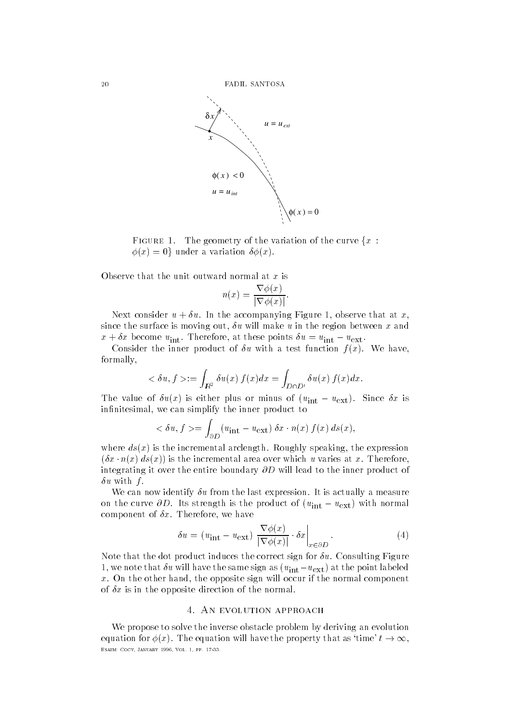

FIGURE 1. The geometry of the variation of the curve  $\{x :$  $\phi(x) = 0$  under a variation  $\delta\phi(x)$ .

Observe that the unit outward normal at x is

$$
n(x) = \frac{\nabla \phi(x)}{|\nabla \phi(x)|}.
$$

Next consider using  $\mathbf{I}$  and at x-dimensional figure that at  $\mathbf{I}$  at  $\mathbf{I}$  at  $\mathbf{I}$  at  $\mathbf{I}$  at  $\mathbf{I}$ since the surface is moving out the surface is moving out the region between x and the region between x and the  $x + \sigma x$  become  $u_{\text{int}}$ . Therefore, at these points  $\sigma u = u_{\text{int}} - u_{\text{ext}}$ .

Consider the inner product of  $\delta u$  with a test function  $f(x)$ . We have, formally

$$
\langle \delta u, f \rangle := \int_{I\!\!R^2} \delta u(x) \, f(x) dx = \int_{D \cap D'} \delta u(x) \, f(x) dx.
$$

The value of  $\sigma u(x)$  is either plus of minus of  $(u_{\text{int}} - u_{\text{ext}})$ . Since  $\sigma x$  is innitesimal we can simplify the inner product to the inner product to the inner product to the inner product to

$$
\langle \delta u, f \rangle = \int_{\partial D} (u_{\rm int} - u_{\rm ext}) \, \delta x \cdot n(x) \, f(x) \, ds(x),
$$

where distribution are incremental architecture and incremental architecture architecture architecture and incrementation architecture and incrementation architecture and incrementation architecture and incrementation arch  $\{a_3, a_4, a_5, a_7\}$  is the incremental area over which u varies at  $x$ . Therefore, integrating it over the entire boundary  $\partial D$  will lead to the inner product of  $\delta u$  with f.

We can now identify  $\delta u$  from the last expression. It is actually a measure on the curve  $\partial D$ . Its strength is the product of  $(u_{int} - u_{ext})$  with normal component of  $\mathbb{R}^n$  . Therefore, we have the formulation of  $\mathbb{R}^n$  therefore  $\mathbb{R}^n$ 

$$
\delta u = (u_{\rm int} - u_{\rm ext}) \left. \frac{\nabla \phi(x)}{|\nabla \phi(x)|} \cdot \delta x \right|_{x \in \partial D}.
$$
 (4)

Note that the dot product induces the correct sign for  $\delta u$ . Consulting Figure 1, we note that  $\sigma u$  will have the same sign as  $(u_{\rm int}-u_{\rm ext})$  at the point labeled x On the other hand the opposite sign will occur if the normal component of  $\delta x$  is in the opposite direction of the normal.

We propose to solve the inverse obstacle problem by deriving an evolution equation for  $\phi(x)$ . The equation will have the property that as 'time'  $t \to \infty$ , Esaim- Cocv January Vol pp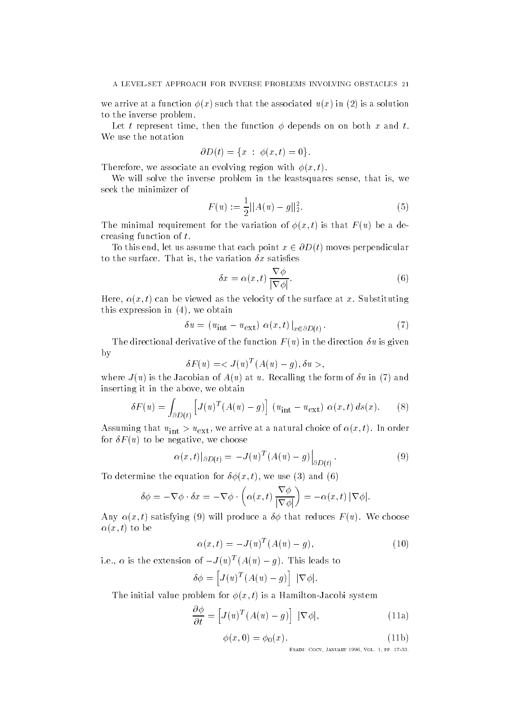we arrive at a function  $\phi(x)$  such that the associated  $u(x)$  in (2) is a solution to the inverse problem

Let t represent time then the function depends on on both x and t We use the notation

$$
\partial D(t) = \{x \; : \; \phi(x,t) = 0\}.
$$

Therefore we associate an evolving region with a structure with x-1 and the structure region with x-1 and the structure region with a structure region with a structure region with a structure region with a structure region

We will solve the inverse problem in the inverse problem in the least sense problem in the least sense in the l seek the minimizer of

$$
F(u) := \frac{1}{2} ||A(u) - g||_2^2.
$$
 (5)

The minimal requirement for the variation of  $\mathbf{r}$  is that F u be a definition of  $\mathbf{r}$ creasing function of t

To this end, let us assume that each point  $x \in \partial D(t)$  moves perpendicular to the surface That is the surface That is the variation  $\mathbb{R}^n$ 

$$
\delta x = \alpha(x, t) \frac{\nabla \phi}{|\nabla \phi|}.
$$
\n(6)

Here x- t can be viewed as the velocity of the surface at x Substituting this expression is a set of  $\mathcal{M}$  . This expression is a set of  $\mathcal{M}$  , we obtain

$$
\delta u = (u_{\text{int}} - u_{\text{ext}}) \alpha(x, t) \big|_{x \in \partial D(t)}.
$$
 (7)

The directional derivative of the function  $F(u)$  in the direction  $\delta u$  is given  $\mathbf{b} \mathbf{v}$ by the contract of the contract of the contract of the contract of the contract of the contract of the contract of the contract of the contract of the contract of the contract of the contract of the contract of the contrac

$$
\delta F(u) = \langle J(u)^T (A(u) - g), \delta u \rangle,
$$

where  $J(u)$  is the Jacobian of  $A(u)$  at u. Recalling the form of  $\delta u$  in (7) and inserting it is in the above that in the above the above the above the above the above the above the above the

$$
\delta F(u) = \int_{\partial D(t)} \left[ J(u)^T (A(u) - g) \right] (u_{\text{int}} - u_{\text{ext}}) \alpha(x, t) ds(x). \tag{8}
$$

 $\Theta$  arrive at a natural choice of  $\lambda$  in  $\lambda$  and  $\lambda$  in  $\lambda$  arrive at a natural choice of  $\lambda$  in  $\lambda$  and  $\lambda$  in  $\lambda$  is a natural choice of  $\lambda$  in  $\lambda$  is a natural contract of  $\lambda$  is a natural contract of  $\lambda$  for  $\mathbf{f}$  and  $\mathbf{f}$  and  $\mathbf{f}$  and  $\mathbf{f}$  and  $\mathbf{f}$  and  $\mathbf{f}$  and  $\mathbf{f}$  and  $\mathbf{f}$  and  $\mathbf{f}$  and  $\mathbf{f}$  and  $\mathbf{f}$  and  $\mathbf{f}$  and  $\mathbf{f}$  and  $\mathbf{f}$  and  $\mathbf{f}$  and  $\mathbf{f}$  and  $\mathbf{f}$ 

$$
\alpha(x,t)|_{\partial D(t)} = -J(u)^T (A(u) - g) \Big|_{\partial D(t)}.
$$
\n(9)

To determine the equation for  $\mathbf{r}$  , and we use  $\mathbf{r}$  and we use  $\mathbf{r}$ 

$$
\delta \phi = -\nabla \phi \cdot \delta x = -\nabla \phi \cdot \left( \alpha(x, t) \frac{\nabla \phi}{|\nabla \phi|} \right) = -\alpha(x, t) |\nabla \phi|.
$$

 $x \mapsto x$  to satisfy the satisfying  $x$  and  $x$  under the satisfying  $x$  under the satisfying  $x$  under the satisfying  $x$  under the satisfying  $x$  under the satisfying  $x$  under the satisfying  $x$  under the satisfying  $x$   $\mathbf x \cdot \mathbf x \cdot \mathbf x$ 

$$
\alpha(x,t) = -J(u)^T (A(u) - g), \qquad (10)
$$

i.e.,  $\alpha$  is the extension of  $-J(u)^{-1}(A(u)) = q$ . This leads to

$$
\delta \phi = \left[ J(u)^T (A(u) - g) \right] \ |\nabla \phi|.
$$

t is a three controls are the form of the system for a system of the system of the system of the system of the

$$
\frac{\partial \phi}{\partial t} = \left[ J(u)^T (A(u) - g) \right] \, |\nabla \phi|,\tag{11a}
$$

$$
\phi(x,0) = \phi_0(x). \tag{11b}
$$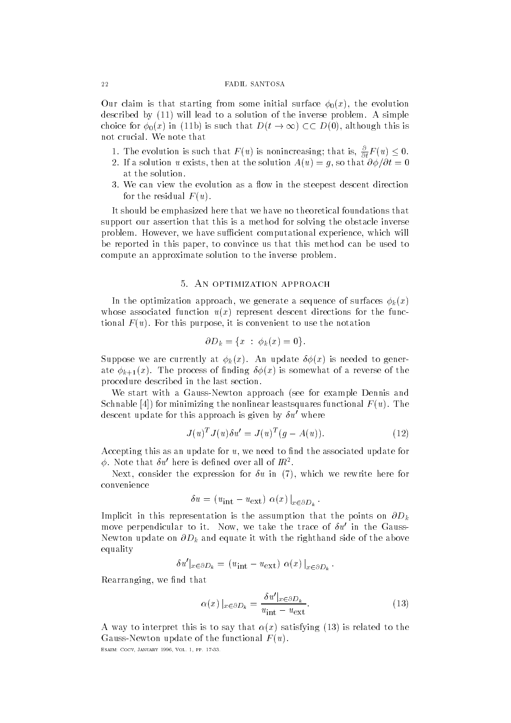$\mathcal{O}$  claim is that starting from some initial surface  $\mathcal{O}$  . The evolution is the evolution initial surface  $\mathcal{O}$ described by  $(11)$  will lead to a solution of the inverse problem. A simple choice for  $\phi_0(x)$  in (11b) is such that  $D(t\to\infty)\subset\subset D(0),$  although this is not crucial. We note that

- 1. The evolution is such that  $F(u)$  is nonincreasing; that is,  $\frac{\partial}{\partial t}F(u) \leq 0$ .
- If a solution use the solution at the solution  $\mathbf{I}$  at the solution Au  $\mathbf{I}$ at the solution.
- 3. We can view the evolution as a flow in the steepest descent direction for the residual  $F(u)$ . for the residual F unit  $\mathbf{f}$  unit  $\mathbf{f}$  unit  $\mathbf{f}$  unit  $\mathbf{f}$  unit  $\mathbf{f}$  unit  $\mathbf{f}$  unit  $\mathbf{f}$  unit  $\mathbf{f}$  unit  $\mathbf{f}$  unit  $\mathbf{f}$  unit  $\mathbf{f}$  unit  $\mathbf{f}$  unit  $\mathbf{f}$  unit  $\mathbf{f}$  unit

It should be emphasized here that we have no theoretical foundations that support our assertion that this is a method for solving the obstacle inverse problem However, we have such a such a such a such a such a such a such a such a such a such a such a such a s be reported in this paper to convince us that this method can be used to compute an approximate solution to the inverse problem

In the optimization approach we generate a sequence of surfaces kx whose associated function  $u(x)$  represent descent directions for the functional F u  $\Gamma$  this purpose that  $\Gamma$  is this purpose that notation  $\Gamma$  is convenient to use the notation  $\Gamma$ 

$$
\partial D_k = \{x \; : \; \phi_k(x) = 0\}.
$$

Suppose we are currently at  $\phi_k(x)$ . An update  $\delta\phi(x)$  is needed to generate kind  $\alpha$  is somewhat of a reverse of  $\alpha$  reverse of the reverse of the reverse of the reverse of the reverse of the reverse of the reverse of the reverse of the reverse of the reverse of the reverse of the reverse o procedure described in the last section

We start with a Gauss-Newton approach see for example Dennis and Schnable [4]) for minimizing the nonlinear leastsquares functional  $F(u)$ . The descent update for this approach is given by  $\delta u'$  where

$$
J(u)^T J(u) \delta u' = J(u)^T (g - A(u)). \qquad (12)
$$

Accepting this as an update for u we need to nd the associated update for  $\varphi$ . Note that  $\sigma u$  here is defined over all of  $I\!\!R$  .

Next and the expression for  $\mathbf{r}$  in the expression for  $\mathbf{r}$  in the expression for  $\mathbf{r}$ convenience

$$
\delta u = (u_{\text{int}} - u_{\text{ext}}) \alpha(x) \big|_{x \in \partial D_k}.
$$

Implicit in this representation is the assumption that the points on  $\partial D_k$ move perpendicular to it. Tyow, we take the trace of  $\sigma u$  in the Gauss-Newton update on  $\partial D_k$  and equate it with the righthand side of the above equality

$$
\delta u'|_{x \in \partial D_k} = (u_{\rm int} - u_{\rm ext}) \alpha(x)|_{x \in \partial D_k}.
$$

 $\mathbb{R}$  we note that the normalism of the set of the set of the set of the set of the set of the set of the set of the set of the set of the set of the set of the set of the set of the set of the set of the set of the se

$$
\alpha(x) \mid_{x \in \partial D_k} = \frac{\delta u' \mid_{x \in \partial D_k}}{u_{\text{int}} - u_{\text{ext}}}.
$$
\n(13)

 $\mathcal{X}$  was to interpret the interpretation of the satisfying the satisfying  $\mathcal{X}$ Gauss- I was a functional formulation of the function  $\mathcal{L}$  and  $\mathcal{L}$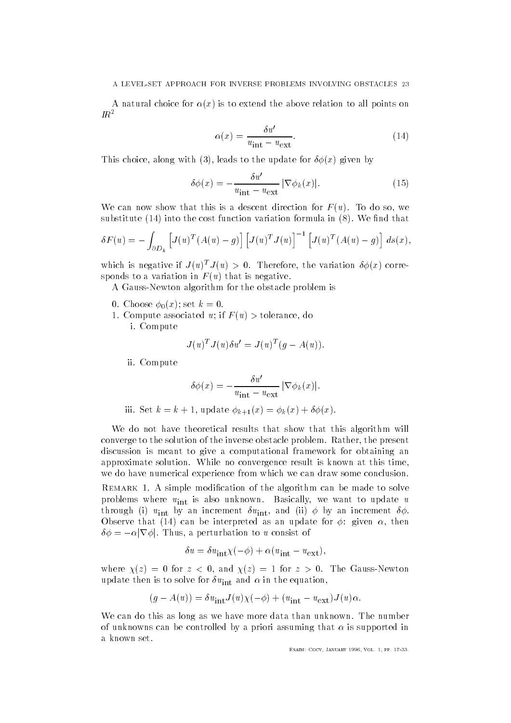$\mathcal{N}$  is to extend the above relation to all points on all points on all points on all points on all points on all points on all points on all points on all points on all points on all points on all points on all point  $I\!R^2$ 

$$
\alpha(x) = \frac{\delta u'}{u_{\text{int}} - u_{\text{ext}}}.\tag{14}
$$

 $\blacksquare$  along with the update for  $\blacksquare$  and  $\blacksquare$  and  $\blacksquare$ 

$$
\delta\phi(x) = -\frac{\delta u'}{u_{\rm int} - u_{\rm ext}} |\nabla\phi_k(x)|.
$$
 (15)

We can now show that this is a descent direction for  $\mathbf{I}$ substitute  $(14)$  into the cost function variation formula in  $(8)$ . We find that

$$
\delta F(u) = -\int_{\partial D_k} \left[ J(u)^T (A(u) - g) \right] \left[ J(u)^T J(u) \right]^{-1} \left[ J(u)^T (A(u) - g) \right] ds(x),
$$

which is negative if  $J(u) > u$ . Inerefore, the variation  $\sigma \varphi(x)$  corresponds to a variation in  $F(u)$  that is negative.

A Gauss-Newton algorithm for the obstacle problem is

- 0. Choose  $\phi_0(x)$ ; set  $k=0$ .
- compute associated under the computer associated under the computer associated under the computer associated u

i. Compute

$$
J(u)^T J(u) \delta u' = J(u)^T (g - A(u)).
$$

ii Compute

$$
\delta\phi(x) = -\frac{\delta u'}{u_{\rm int} - u_{\rm ext}} |\nabla\phi_k(x)|.
$$

iii  $\mathcal{N}$  is the contract of  $\mathcal{N}$  in  $\mathcal{N}$  is the contract of  $\mathcal{N}$  is the contract of  $\mathcal{N}$ 

We do not have theoretical results that show that this algorithm will converge to the solution of the inverse obstacle problem Rather the present discussion is meant to give a computational framework for obtaining an approximate solution. While no convergence result is known at this time, we do have numerical experience from which we can draw some conclusion

REMARK 1. A simple modification of the algorithm can be made to solve is a set of unknown basically we want to use  $\mathbf{r}$  $\begin{array}{ccc} \bullet\ \quad\setminus\ \land\ \quad\text{IIII}\end{array}$  into an increment  $\begin{array}{ccc} \bullet\ \quad\setminus\ \land\ \land\ \end{array}$  into an increment  $\land\ \land\ \land\ \end{array}$  $\mathcal{C}$  as an update that is an update for given  $\mathcal{C}$  . Then update for given  $\mathcal{C}$  as an update for given  $\mathcal{C}$  $\delta \phi = - \alpha |\nabla \phi|.$  Thus, a perturbation to  $u$  consist of

$$
\delta u = \delta u_{\rm int} \chi(-\phi) + \alpha (u_{\rm int} - u_{\rm ext}),
$$

 $\mathcal{A}$  is an and  $\mathcal{A}$  is a set  $\mathcal{A}$  is a set  $\mathcal{A}$  is a set  $\mathcal{A}$  is a set  $\mathcal{A}$  is a set  $\mathcal{A}$  is a set  $\mathcal{A}$  is a set  $\mathcal{A}$  is a set  $\mathcal{A}$  is a set  $\mathcal{A}$  is a set  $\mathcal{A}$  is a set  $\mathcal$ where the solve for the equation  $\mathbb{I}_{\mathrm{III}}$  and  $\mathbb{I}_{\mathrm{III}}$  and  $\mathbb{I}_{\mathrm{III}}$ 

$$
(g - A(u)) = \delta u_{\rm int} J(u)\chi(-\phi) + (u_{\rm int} - u_{\rm ext})J(u)\alpha.
$$

We can do this as long as we have more data than unknown. The number of unknowns can be controlled by a priori assuming that  $\mathbf{r}$  assuming that  $\mathbf{r}$ a known set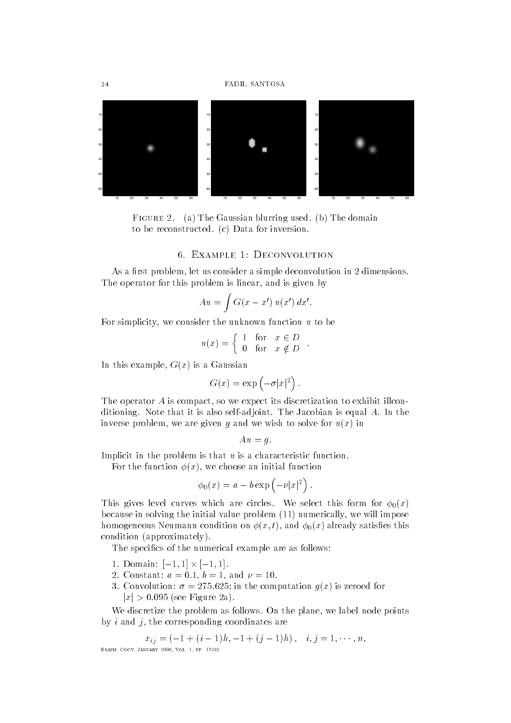

Figure  $\Delta$ . (a) The Gaussian blurring used. (b) The domain to be reconstructed.  $(c)$  Data for inversion.

## 6. EXAMPLE 1: DECONVOLUTION

As a rst problem let us consider a simple deconvolution in dimensions The operator for this problem is linear this problem is linear than  $\mathcal{M}$  . In this given by and is given by an

$$
Au = \int G(x - x') u(x') dx'.
$$

For simplicity we consider the unknown function u to be

$$
u(x) = \begin{cases} 1 & \text{for } x \in D \\ 0 & \text{for } x \notin D \end{cases}.
$$

 $\blacksquare$  is a Gaussian function of  $\blacksquare$ 

$$
G(x) = \exp(-\sigma |x|^2).
$$

The operator A is compact so we expect its discretization to exhibit illconditioning Note that it is also self-adjoint The Jacobian is equal A In the inverse problem we are given g and we wish to solve for ux in

$$
Au = g.
$$

Implicit in the problem is that  $u$  is a characteristic function.

 $F \setminus \{ \cdot \}$  we choose an initial function  $\mathcal{F}$  and  $\mathcal{F}$ 

$$
\phi_0(x) = a - b \exp \left(-\nu |x|^2\right).
$$

This gives level curves which are circles. We select this form for  $\phi_0(x)$  $\mathbf{u}$  in solving the initial value problem in the initial value problem in the initial value problem in the initial value problem in the initial value  $\mathbf{u}$ homogeneous  $\mathcal{W}$  and  $\mathcal{W}$  and  $\mathcal{W}$  and  $\mathcal{W}$  and  $\mathcal{W}$ condition (approximately).

The specifics of the numerical example are as follows:

- 1. Domain:  $|-1,1| \times |-1,1|.$
- $\mathbf{b}$  and a set of the constant and a set of the constant and a set of the constant and a set of the constant and  $\mathbf{b}$
- 3. Convolution:  $\sigma = 275.625$ ; in the computation  $g(x)$  is zeroed for  $|x| > 0.095$  (see Figure 2a).

We discretize the problem as follows On the plane we label node points by interesting contractions are contracted to the corresponding corresponding contracted to  $\mathbf{r}_i$ 

$$
x_{ij} = (-1 + (i - 1)h, -1 + (j - 1)h), \quad i, j = 1, \cdots, n,
$$
  
Esain: Cocv, Jandr Y 1996, Vol. 1, pp. 17-33.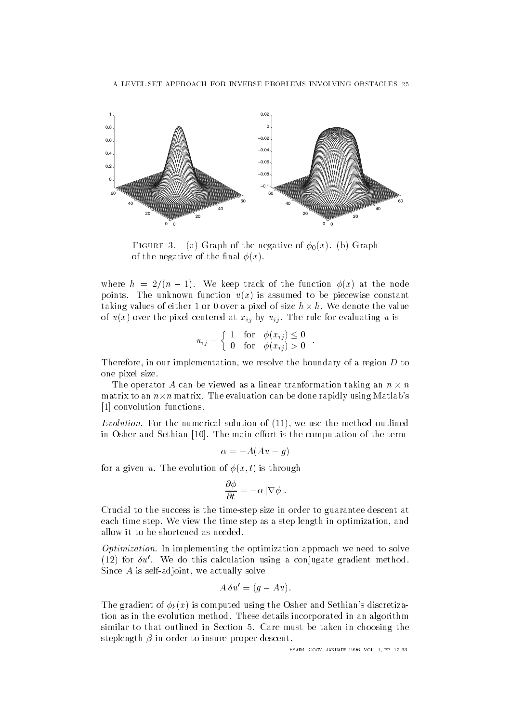

FIGURE 3. (a) Graph of the negative of  $\phi_0(x)$ . (b) Graph of the negative of the final  $\phi(x)$ .

where  $h = 2/(n - 1)$ . We keep track of the function  $\phi(x)$  at the node points. The unknown function  $u(x)$  is assumed to be piecewise constant taking values of either 1 or 0 over a pixel of size  $h \times h$ . We denote the value of  $u(x)$  over the pixel centered at  $x_{ij}$  by  $u_{ij}$ . The rule for evaluating u is

$$
u_{ij} = \left\{ \begin{array}{ll} 1 & \text{for} \quad \phi(x_{ij}) \leq 0 \\ 0 & \text{for} \quad \phi(x_{ij}) > 0 \end{array} \right. .
$$

Therefore in our implementation in our implementation of a region D to a region D to a region D to a region D to one pixel size

The operator A can be viewed as a linear tranformation taking an  $n \times n$ matrix to an  $n \times n$  matrix. The evaluation can be done rapidly using Matlab's [1] convolution functions.

 $\mathbf{F} = \mathbf{F} \mathbf{F}$ in Osher and Sethian  $[10]$ . The main effort is the computation of the term

$$
\alpha = -A(Au - g)
$$

for a given use the evolution of the evolution of the evolution of the evolution of the evolution of the evolution of the evolution of the evolution of the evolution of the evolution of the evolution of the evolution of th

$$
\frac{\partial \phi}{\partial t} = -\alpha |\nabla \phi|.
$$

Crucial to the success is the time-step size in order to guarantee descent at each time step We view the time step as a step length in optimization and allow it to be shortened as needed

Optimization- In implementing the optimization approach we need to solve (12) for  $\delta u'$ . We do this calculation using a conjugate gradient method. Since A is self-adjoint we actually solve

$$
A \,\delta u' = (g - Au).
$$

The gradient of  $\phi_k(x)$  is computed using the Osher and Sethian's discretization as in the evolution method. These details incorporated in an algorithm similar to that outlined in Section 5. Care must be taken in choosing the steplength  $\beta$  in order to insure proper descent.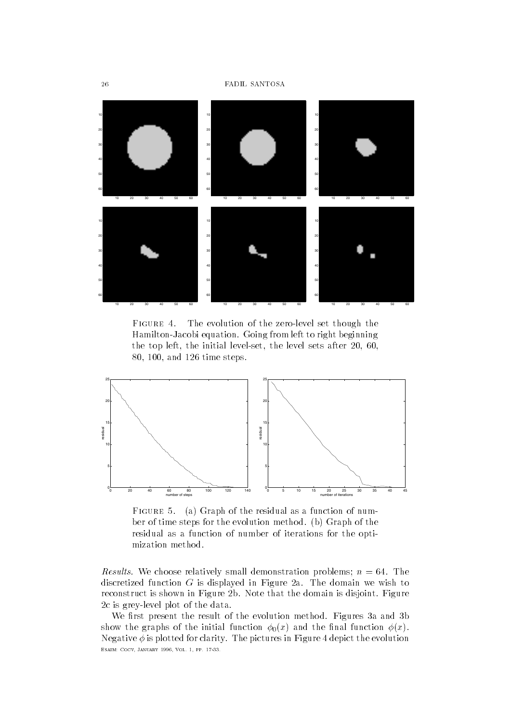

FIGURE 4.  $\mathbf{f}_1$ Hamilton-Jacobi equation Going from left to right beginning the initial left after the initial level-level-level-level-level-level-level-level-level-level-level-level-leveland the steps of time steps of time steps of time steps of time steps of time steps of time steps of time step



FIGURE 5. (a) Graph of the residual as a function of number of time steps for the evolution method. (b) Graph of the residual as a function of number of iterations for the optimization method

Results- We choose relatively small demonstration problems n The discretized function  $G$  is displayed in Figure 2a. The domain we wish to reconstruct is shown in Figure 2b. Note that the domain is disjoint. Figure level plot is grey-based plot of the data and data and data and data and data and data and data and data and d

We first present the result of the evolution method. Figures 3a and 3b show the graphs of the initial function  $\phi_0(x)$  and the final function  $\phi(x)$ . Negative  $\phi$  is plotted for clarity. The pictures in Figure 4 depict the evolution Esaim- Cocv January Vol pp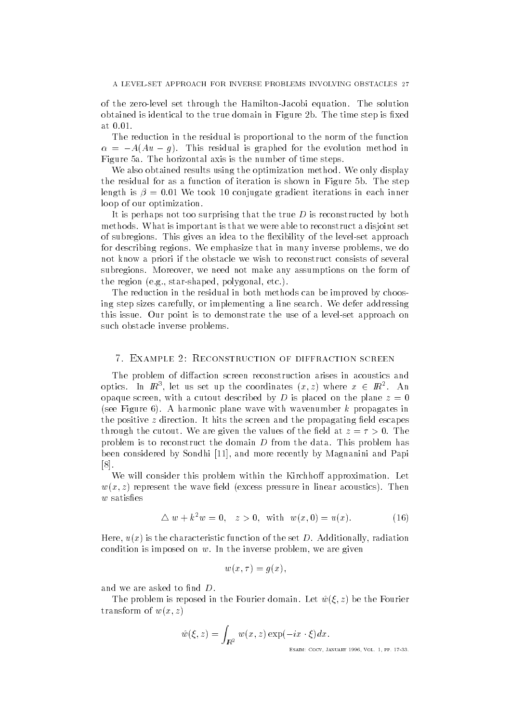of the zero-level set through the Hamilton-Jacobi equation The solution obtained is identical to the true domain in Figure 2b. The time step is fixed at 0.01.

The reduction in the residual is proportional to the norm of the function  $\alpha = -\pi$ <sub>1</sub> $\pi$  g<sub>T</sub>, This residual is graphed for the evolution method in Figure 5a. The horizontal axis is the number of time steps.

We also obtained results using the optimization method. We only display We also obtained results using the optimization method We only display the residual for as a function of iteration is shown in Figure 5b. The step length is  $\beta = 0.01$  We took 10 conjugate gradient iterations in each inner loop of our optimization.

It is perhaps not too surprising that the true  $D$  is reconstructed by both methods What is important is that we were able to reconstruct a disjoint set of subregions This gives an idea to the exibility of the level-set approach for describing regions We emphasize that in many inverse problems we do not know a priori if the obstacle we wish to reconstruct consists of several subregions Moreover we need not make any assumptions on the form of the region end of the region of the region of the region of the region of the region of the region of the region of the region of the region of the region of the region of the region of the region of the region of the regi

The reduction in the residual in both methods can be improved by choosing step sizes carefully or implementing a line search We defer addressing this issue Our point is to demonstrate the use of a level-set approach on such obstacle inverse problems

The problem of diffaction screen reconstruction arises in acoustics and optics. In  $I\!\!R^{\circ}$ , let us set up the coordinates  $(x, z)$  where  $x \in I\!\!R^{\circ}$ . An opaque screen with a cutout described by D is placed on the plane z (see Figure 6). A harmonic plane wave with wavenumber  $k$  propagates in the positive  $z$  direction. It hits the screen and the propagating field escapes through the cutout. We are given the values of the field at  $z = \tau > 0$ . The problem is to reconstruct the domain  $D$  from the data. This problem has  $\mathcal{L}$  by Sondhi and more recently by Sondhi and  $\mathcal{L}$  and  $\mathcal{L}$  and  $\mathcal{L}$  and  $\mathcal{L}$  and Papiri and Papiri and Papiri and Papiri and Papiri and Papiri and Papiri and Papiri and Papiri and Papiri and Papiri a  $[8]$ .

We will consider this problem within the Kirchhoff approximation. Let where  $x$  represent the wave eld excess pressure in linear acoustics  $\mathbf{r}$  $w$  satisfies

$$
\Delta w + k^2 w = 0, \quad z > 0, \text{ with } w(x, 0) = u(x). \tag{16}
$$

Here ux is the characteristic function of the set D Additionally radiation condition is imposed on which is imposed on which in the inverse problem is in the inverse problem in the inverse problem in the interval of the interval of the interval of the interval of the interval of the interval of t

$$
w(x,\tau)=g(x),
$$

and we are asked to find  $D$ .

The problem is reposed in the Fourier domain Let w- z be the Fourier  $\mathbf{r}$  and  $\mathbf{r}$  and  $\mathbf{r}$  and  $\mathbf{r}$  and  $\mathbf{r}$  and  $\mathbf{r}$  and  $\mathbf{r}$ 

$$
\hat{w}(\xi, z) = \int_{\mathbb{R}^2} w(x, z) \exp(-ix \cdot \xi) dx.
$$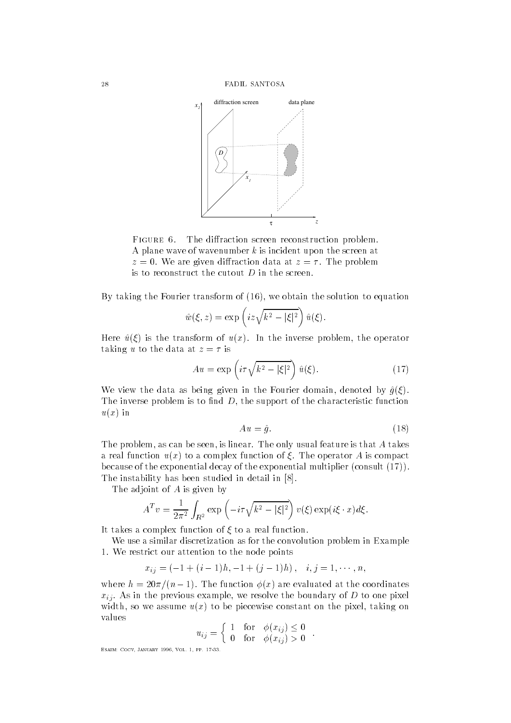

FIGURE 6. The diffraction screen reconstruction problem. A plane wave of wavenumber  $k$  is incident upon the screen at  $z = 0$ . We are given diffraction data at  $z = \tau$ . The problem is to reconstruct the cutout  $D$  in the screen.

 $B$  taking the Fourier transform of the solution to equation the solution to equation the solution to equation to equation the solution to equation the solution to equation the solution to equation the solution to equatio

$$
\hat{w}(\xi, z) = \exp\left(iz\sqrt{k^2 - |\xi|^2}\right)\hat{u}(\xi).
$$

Here u is the transform of ux In the inverse problem the operator taking u to the data at  $z = \tau$  is

$$
Au = \exp\left(i\tau\sqrt{k^2 - |\xi|^2}\right)\hat{u}(\xi). \tag{17}
$$

We view the data as being given in the Fourier domain  $\alpha$  as being given in the Fourier domain  $\alpha$ The inverse problem is to note that inverse problem is to note that the characteristic function  $\mathcal{A}$  $u(x)$  in

$$
Au = \hat{g}.\tag{18}
$$

The problem as can be seen is linear The only usual feature is that A takes a real function  $u(x)$  to a complex function of  $\xi$ . The operator A is compact because of the exponential decay of the exponential multiplier (consult  $(17)$ ). The instability has been studied in detail in

The adjoint of A is given by

$$
A^T v = \frac{1}{2\pi^2} \int_{\mathbb{R}^2} \exp\left(-i\tau \sqrt{k^2 - |\xi|^2}\right) v(\xi) \exp(i\xi \cdot x) d\xi.
$$

It takes a complex function of  $\xi$  to a real function.

We use a similar discretization as for the convolution problem in Example  We restrict our attention to the node points

$$
x_{ij} = (-1 + (i - 1)h, -1 + (j - 1)h), \quad i, j = 1, \cdots, n,
$$

where  $h = 20\pi/(n-1)$ . The function  $\phi(x)$  are evaluated at the coordinates we resolve the previous examples, we resolve the boundary or most construction of  $\mathbb{R}^n$ with so we assume ux to be pixel on the pixel on the pixel on the pixel on the pixel on the pixel on the pixel on the pixel on the pixel on the pixel on the pixel on the pixel on the pixel on the pixel on the pixel on the values

$$
u_{ij} = \begin{cases} 1 & \text{for } \phi(x_{ij}) \leq 0 \\ 0 & \text{for } \phi(x_{ij}) > 0 \end{cases}.
$$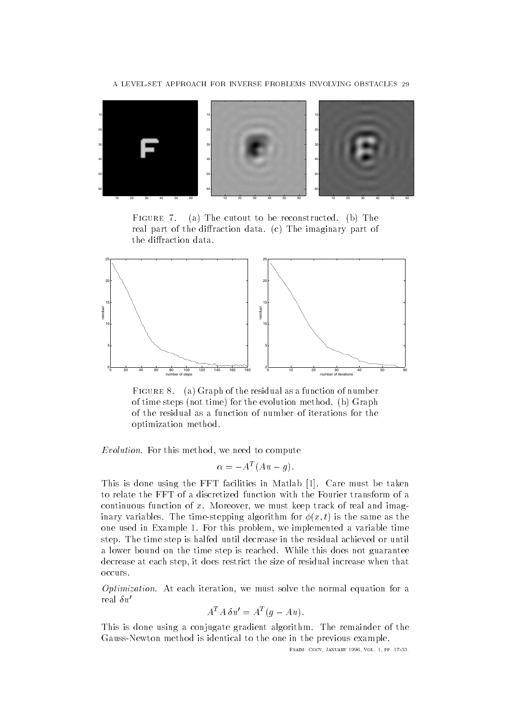

FIGURE 7. (a) The cutout to be reconstructed. (b) The real part of the diffraction data. (c) The imaginary part of the diffraction data.



Figure a Graph of the residual as a function of number of time steps (not time) for the evolution method. (b) Graph of the residual as a function of number of iterations for the optimization method

Evolution- For this method we need to compute

$$
\alpha = -A^T(Au - g).
$$

This is done using the FFT facilities in Matlab [1]. Care must be taken to relate the FFT of a discretized function with the Fourier transform of a continuous function of  $\mathbf{M}$ inary variables The time-stepping algorithm for x- t is the same as the one used in Example  For this problem we implemented a variable time step. The time step is halfed until decrease in the residual achieved or until a lower bound on the time step is reached. While this does not guarantee decrease at each step it does restrict the size of residual increase when that occurs.

Optimization- At each iteration we must solve the normal equation for a real  $\delta u'$ 

$$
A^T A \, \delta u' = A^T (g - Au).
$$

This is done using a conjugate gradient algorithm. The remainder of the Gauss- I was discussed in the one in the previous examples of the previous examples of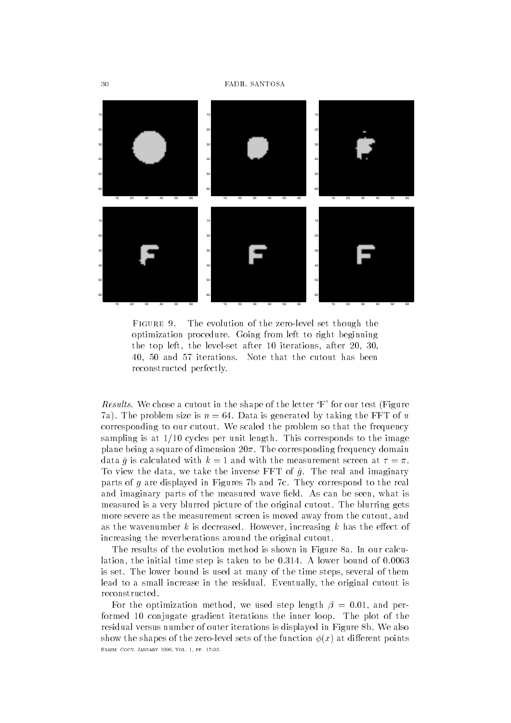

FIGURE 9.  $\mathbf{f}_1$ optimization procedure Going from left to right beginning the left after the left after the left after the left after the left after the left after the left after the l and  $\alpha$  is that the cutout has been defined in the cutout has been defined in the cutout has been defined in reconstructed perfectly

Results- We chose a cutout in the shape of the letter F for our test Figure 7a). The problem size is  $n = 64$ . Data is generated by taking the FFT of u corresponding to our cutout. We scaled the problem so that the frequency sampling is at  $1/10$  cycles per unit length. This corresponds to the image plane being a square of dimension  $20\pi$ . The corresponding frequency domain data  $\hat{q}$  is calculated with  $k=1$  and with the measurement screen at  $\tau=\pi$ . To view the data the inverse FFT of g The inverse FFT of g The real and imaginary  $\mathbb{F}_{T}$ parts of  $q$  are displayed in Figures 7b and 7c. They correspond to the real and imaginary parts of the measured wave eld As can be seen what is measured is a very blurred picture of the original cutout The blurring gets more severe as the measurement screen is moved away from the cutout and as the wavenumber k is decreased However, we are the extension of  $\mathbf{H}$ increasing the reverberations around the original cutout

The results of the evolution method is shown in Figure 8a. In our calculation the initial time step is taken to be  A lower bound of is set The lower bound is used at many of the time steps several of them lead to a small increase in the residual Eventually the original cutout is reconstructed

For the optimization method we used step length  and performed 10 conjugate gradient iterations the inner loop. The plot of the residual versus number of outer iterations is displayed in Figure 8b. We also show the shapes of the function  $\mathcal{L}_\mathcal{S}$  at dierent points points of the function  $\mathcal{L}_\mathcal{S}$ Esaim- Cocv January Vol pp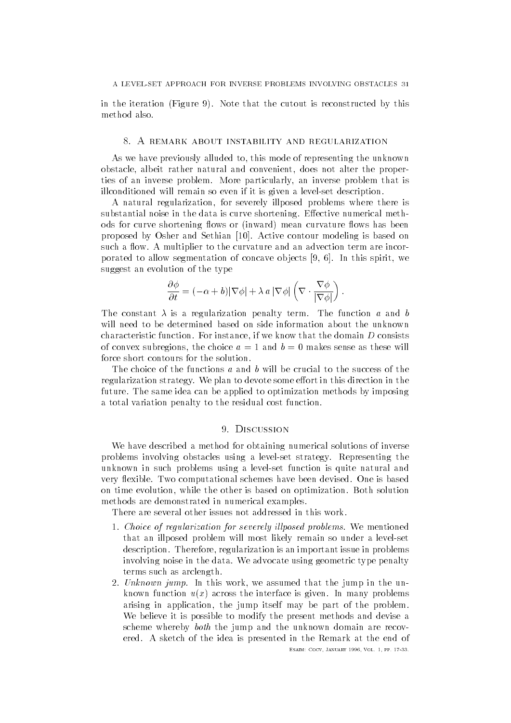in the iteration (Figure 9). Note that the cutout is reconstructed by this method also.

### 8. A REMARK ABOUT INSTABILITY AND REGULARIZATION

As we have previously alluded to this mode of representing the unknown obstacle albeit rather natural and convenient does not alter the properties of an inverse problem More particularly an inverse problem that is illconditioned will remain so even if it is given a level-based will remain so even if it is given a level-based

A natural regularization for severely illposed problems where there is substantial noise in the data is curve shortening. Effective numerical methods for curve shortening flows or (inward) mean curvature flows has been proposed by Osher and Sethian [10]. Active contour modeling is based on such a flow. A multiplier to the curvature and an advection term are incorporated to allow segmentation of concave ob jects In this spirit we suggest an evolution of the type

$$
\frac{\partial \phi}{\partial t} = (-\alpha + b) |\nabla \phi| + \lambda a |\nabla \phi| \left( \nabla \cdot \frac{\nabla \phi}{|\nabla \phi|} \right).
$$

The constant  $\lambda$  is a regularization penalty term. The function a and b will need to be determined based on side information about the unknown characteristic function For instance if we know that the domain D consists of convex subregions subregions as the choice and b makes sense as the choice as the choice as the choice as force short contours for the solution.

The choice of the functions a and b will be crucial to the success of the regularization strategy. We plan to devote some effort in this direction in the future. The same idea can be applied to optimization methods by imposing a total variation penalty to the residual cost function

We have described a method for obtaining numerical solutions of inverse problems involving obstacles using a level-set strategy Representing the unknown in such problems using a level-level-level-level-level-level-level-level-level-level-level-level-levelvery flexible. Two computational schemes have been devised. One is based on time evolution while the other is based on optimization Both solution methods are demonstrated in numerical examples

There are several other issues not addressed in this work.

- Choice of regularization for severely il lposed problems- We mentioned that an illposed problem will most likely remain so under a level-set description Therefore regularization is an important issue in problems involving noise in the data. We advocate using geometric type penalty terms such as arclength
- we assume that is the this work. We assume the this this work is the unknown function  $u(x)$  across the interface is given. In many problems arising in application the jump itself may be part of the problem We believe it is possible to modify the present methods and devise a scheme whereby both the jump and the unknown domain are recovered. A sketch of the idea is presented in the Remark at the end of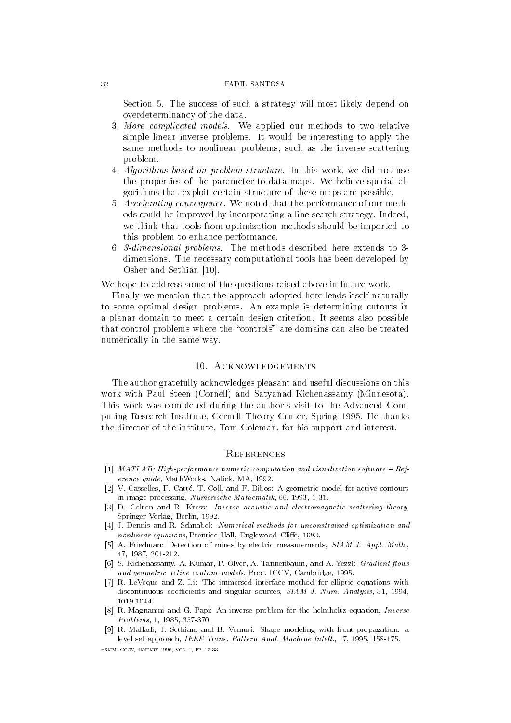Section 5. The success of such a strategy will most likely depend on overdeterminancy of the data

- More complicated models- We applied our methods to two relative simple linear inverse problems. It would be interesting to apply the same methods to nonlinear problems such as the inverse scattering problem
- 4. Algorithms based on problem structure. In this work, we did not use Algorithms based on problem structure- In this work the properties of the parameter-to-data maps We believe special algorithms that exploit certain structure of these maps are possible
- Accelerating convergence-We note that the performance of our method that the performance of our method of our method of our method of o ods could be improved by incorporating a line search strategy. Indeed, we think that tools from optimization methods should be imported to this problem to enhance performance
- dimensional problems- The methods described here extends to dimensions. The necessary computational tools has been developed by Osher and Sethian [10].

We hope to address some of the questions raised above in future work

Finally we mention that the approach adopted here lends itself naturally to some optimal design problems. An example is determining cutouts in a planar domain to meet a certain design criterion It seems also possible that control problems where the "controls" are domains can also be treated numerically in the same way

## 10. ACKNOWLEDGEMENTS

The author gratefully acknowledges pleasant and useful discussions on this work with Paul Steen (Cornell) and Satyanad Kichenassamy (Minnesota). This work was completed during the author's visit to the Advanced Comput is a correlated by  $\mathcal{R}$  . The thanks in the thanks of the thanks of the thanks of the thanks of the thanks of the thanks of the thanks of the thanks of the thanks of the thanks of the thanks of the thanks of the t the director of the institute Tom Coleman for his support and interest

### **REFERENCES**

- MATLAB- Highperformance numeric computation and visualization softwareRef erence guide, MathWorks, Natick, MA, 1992.
- $\mathbf{V}$  -collapselles F- $\mathbf{V}$  and  $\mathbf{V}$  and  $\mathbf{V}$  and  $\mathbf{V}$  and  $\mathbf{V}$  active contours  $\mathbf{V}$ in image processing, Numerische Mathematik, 66, 1993, 1-31.
- D- Colton and R- Kress Inverse acoustic and electromagnetic scattering theory Springer-Verlag, Berlin, 1992.
- J- Dennis and R- Schnabel Numerical methods for unconstrained optimization and nonlinear equations PrenticeHall Englewood Clis Englewood Clis Englewood Clis Englewood Clis Englewood Clis En
- A- Friedman Detection of mines by electric measurements SIAM J Appl Math the contract of the contract of the contract of the contract of the contract of the contract of the contract o
- S- Kichenassamy A- Kumar P- Olver A- Tannenbaum and A- Yezzi Gradient ows and geometric active control models Proceeding - ICCV Cambridge - ICCV Cambridge - ICCV Cambridge - ICCV Cambridge -
- R- LeVeque and Z- Li The immersed interface method for elliptic equations with discontinuous coefficients and singular sources,  $SIAM$  J. Num. Analysis, 31, 1994, 1019-1044.
- R- Magnanini and G- Papi An inverse problem for the helmholtz equation Inverse Problems -
- R- Malladi J- Sethian and B- Vemuri Shape modeling with front propagation a level set approach IEEE Trans Pattern Anal Machine Intel l -